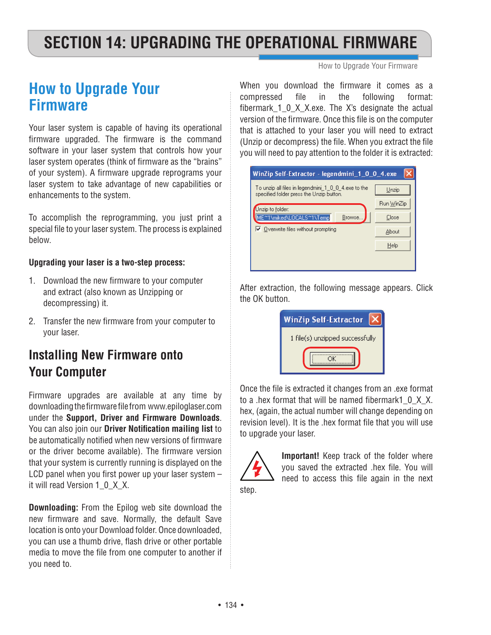# **SECTION 14: UPGRADING THE OPERATIONAL FIRMWARE**

How to Upgrade Your Firmware

## **How to Upgrade Your Firmware**

Your laser system is capable of having its operational firmware upgraded. The firmware is the command software in your laser system that controls how your laser system operates (think of firmware as the "brains" of your system). A firmware upgrade reprograms your laser system to take advantage of new capabilities or enhancements to the system.

To accomplish the reprogramming, you just print a special file to your laser system. The process is explained below.

#### **Upgrading your laser is a two-step process:**

- 1. Download the new firmware to your computer and extract (also known as Unzipping or decompressing) it.
- 2. Transfer the new firmware from your computer to your laser.

### **Installing New Firmware onto Your Computer**

Firmware upgrades are available at any time by downloading the firmware file from www.epiloglaser.com under the **Support, Driver and Firmware Downloads**. You can also join our **Driver Notification mailing list** to be automatically notified when new versions of firmware or the driver become available). The firmware version that your system is currently running is displayed on the LCD panel when you first power up your laser system – it will read Version 1\_0\_X\_X.

**Downloading:** From the Epilog web site download the new firmware and save. Normally, the default Save location is onto your Download folder. Once downloaded, you can use a thumb drive, flash drive or other portable media to move the file from one computer to another if you need to.

When you download the firmware it comes as a compressed file in the following format: fibermark\_1\_0\_X\_X.exe. The X's designate the actual version of the firmware. Once this file is on the computer that is attached to your laser you will need to extract (Unzip or decompress) the file. When you extract the file you will need to pay attention to the folder it is extracted:



After extraction, the following message appears. Click the OK button.

| <b>WinZip Self-Extractor</b>    |
|---------------------------------|
| 1 file(s) unzipped successfully |
|                                 |

Once the file is extracted it changes from an .exe format to a .hex format that will be named fibermark1 0 X X. hex, (again, the actual number will change depending on revision level). It is the .hex format file that you will use to upgrade your laser.



**Important!** Keep track of the folder where you saved the extracted .hex file. You will need to access this file again in the next

step.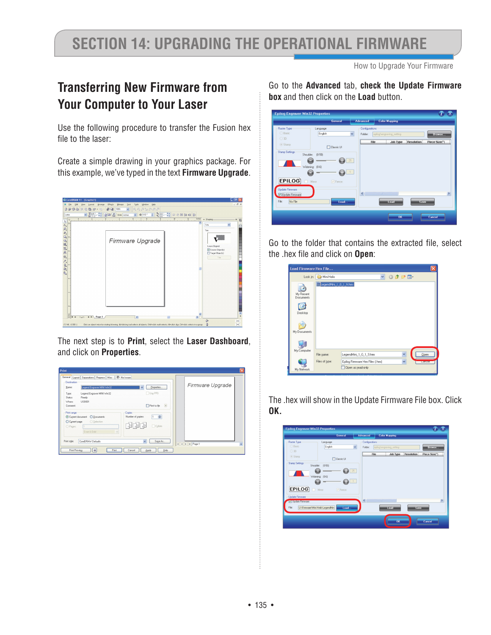# **Section 14: Upgrading the Operational Firmware**

How to Upgrade Your Firmware

### **Transferring New Firmware from Your Computer to Your Laser**

Use the following procedure to transfer the Fusion hex file to the laser:

Create a simple drawing in your graphics package. For this example, we've typed in the text **Firmware Upgrade**.



The next step is to **Print**, select the **Laser Dashboard**, and click on **Properties**.

| Destination<br>Legend Engraver MINI Win32<br>Name:                                                                  | Properties<br>$\checkmark$                                                                      | Firmware Upgrade |
|---------------------------------------------------------------------------------------------------------------------|-------------------------------------------------------------------------------------------------|------------------|
| Legend Engraver MINI Win32<br>Type:<br>Status:<br>Ready<br>Where:<br>USB001<br>Comment:                             | Use PPD<br>$\sqrt{ }$<br>Print to file                                                          |                  |
| Print range<br>O Documents<br>Current document<br>C Current page<br>○ Selection<br>O Pages:<br>Even & Odd<br>$\vee$ | Copies<br>$\hat{\mathbf{v}}$<br>Number of copies:<br>1<br>$\n  4 1 1 2 3 3 1$<br>$\Box$ Collate |                  |
| Print style:<br>CorelDRAW Defaults                                                                                  | $\overline{\phantom{0}}$<br>Save As                                                             | H 4 F H Page 1   |

Go to the **Advanced** tab, **check the Update Firmware box** and then click on the **Load** button.

|                        |                     | General               | <b>Advanced</b>              |            | <b>Color Mapping</b>     |                   |                       |
|------------------------|---------------------|-----------------------|------------------------------|------------|--------------------------|-------------------|-----------------------|
| <b>Raster Type</b>     | Language            |                       | Configurations               |            |                          |                   |                       |
| <b>Basic</b>           | English             |                       | Y<br>Folder:                 |            | epilog\engraving_setting |                   | Browse                |
| ◯ 3D                   |                     |                       |                              | File       | Job Type                 | <b>Resolution</b> | Piece Size(")         |
| Stamp                  |                     | Classic UI            |                              |            |                          |                   |                       |
| <b>Stamp Settings</b>  | Shoulder:<br>(0.50) |                       |                              |            |                          |                   |                       |
|                        |                     |                       | 25                           |            |                          |                   |                       |
|                        | Widening: (0-6)     |                       |                              |            |                          |                   |                       |
|                        |                     |                       | 1                            |            |                          |                   |                       |
|                        |                     |                       |                              |            |                          |                   |                       |
| EPILOG                 | Mirror              | $\triangledown$ Fence |                              |            |                          |                   |                       |
| <b>Update Firmware</b> |                     |                       |                              |            |                          |                   |                       |
| Update Firmware        |                     |                       | $\left\langle \right\rangle$ | <b>III</b> |                          |                   | $\blacktriangleright$ |
|                        |                     | Load                  |                              |            | Load                     | Save              |                       |
| File:<br>No File       |                     |                       |                              |            |                          |                   |                       |
|                        |                     |                       |                              |            |                          |                   |                       |

Go to the folder that contains the extracted file, select the .hex file and click on **Open**:

| Load Firmware Hex File |                        |                                  |   |  |              |         |                 |  |
|------------------------|------------------------|----------------------------------|---|--|--------------|---------|-----------------|--|
|                        | Look in: Mini Helix    |                                  | Y |  |              | ◎ ま 2 田 |                 |  |
| My Recent<br>Documents | LegendMini_1_0_1_9.hex |                                  |   |  |              |         |                 |  |
| Desktop                |                        |                                  |   |  |              |         |                 |  |
| My Documents           |                        |                                  |   |  |              |         |                 |  |
|                        |                        |                                  |   |  |              |         |                 |  |
| My Computer            | File name:             | LegendMini_1_0_1_9.hex           |   |  | Y            |         | Open            |  |
|                        | Files of type:         | Epilog Firmware Hex Files [.hex] |   |  | $\checkmark$ |         | <b>MODELMAN</b> |  |
| My Network             |                        | Open as read-only                |   |  |              |         |                 |  |

The .hex will show in the Update Firmware File box. Click **OK.**

|                                                              | General                                                 | <b>Advanced</b>                    |                | <b>Color Mapping</b>    |                   |               |
|--------------------------------------------------------------|---------------------------------------------------------|------------------------------------|----------------|-------------------------|-------------------|---------------|
| Raster Type                                                  | Language                                                | Configurations                     |                |                         |                   |               |
| ○ Basic                                                      | English                                                 | $\checkmark$<br>Folder:            |                | eplog\engraving_setting |                   | Browse        |
| O3D                                                          |                                                         |                                    | <b>File</b>    | Job Type                | <b>Resolution</b> | Piece Size(") |
| Stamp                                                        | <b>Classic UI</b>                                       |                                    |                |                         |                   |               |
| <b>EPILOG</b><br><b>Update Firmware</b><br>V Update Firmware | Widening: (0-6)<br>Œ<br>Mirror<br>$\triangledown$ Fence | $\left\langle \cdot \right\rangle$ | $\overline{1}$ |                         |                   |               |
| File:                                                        | U:\Firmware\Mini Helix\LegendMin<br>Load                |                                    |                | <b>Load</b>             | Save              |               |